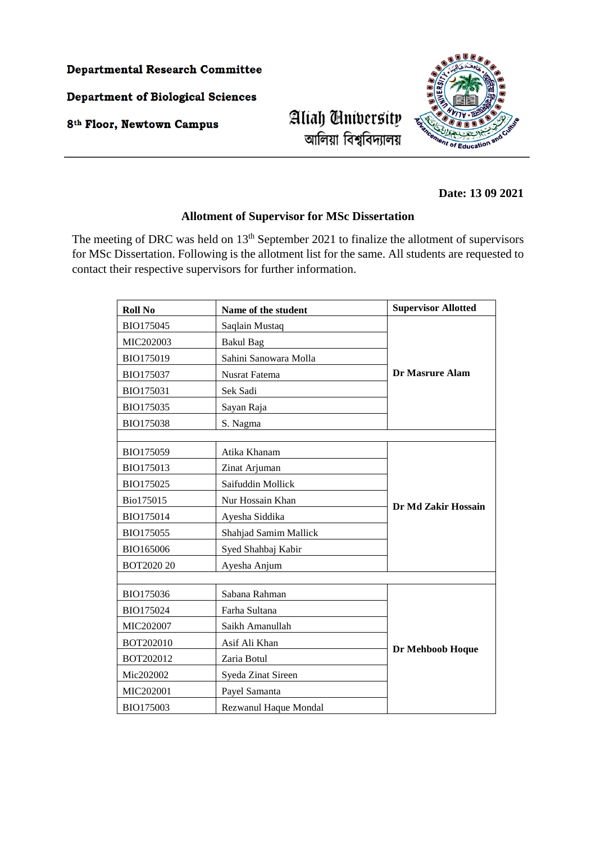## **Departmental Research Committee**

**Department of Biological Sciences** 

8<sup>th</sup> Floor, Newtown Campus

## Aliah University আলিয়া বিশ্ববিদ্যালয়



## **Date: 13 09 2021**

## **Allotment of Supervisor for MSc Dissertation**

The meeting of DRC was held on  $13<sup>th</sup>$  September 2021 to finalize the allotment of supervisors for MSc Dissertation. Following is the allotment list for the same. All students are requested to contact their respective supervisors for further information.

| <b>Roll No</b>   | Name of the student   | <b>Supervisor Allotted</b> |
|------------------|-----------------------|----------------------------|
| BIO175045        | Saqlain Mustaq        | <b>Dr Masrure Alam</b>     |
| MIC202003        | <b>Bakul Bag</b>      |                            |
| BIO175019        | Sahini Sanowara Molla |                            |
| BIO175037        | Nusrat Fatema         |                            |
| BIO175031        | Sek Sadi              |                            |
| BIO175035        | Sayan Raja            |                            |
| <b>BIO175038</b> | S. Nagma              |                            |
|                  |                       |                            |
| BIO175059        | Atika Khanam          | Dr Md Zakir Hossain        |
| BIO175013        | Zinat Arjuman         |                            |
| BIO175025        | Saifuddin Mollick     |                            |
| Bio175015        | Nur Hossain Khan      |                            |
| BIO175014        | Ayesha Siddika        |                            |
| BIO175055        | Shahjad Samim Mallick |                            |
| BIO165006        | Syed Shahbaj Kabir    |                            |
| BOT2020 20       | Ayesha Anjum          |                            |
|                  |                       |                            |
| BIO175036        | Sabana Rahman         | Dr Mehboob Hoque           |
| BIO175024        | Farha Sultana         |                            |
| MIC202007        | Saikh Amanullah       |                            |
| BOT202010        | Asif Ali Khan         |                            |
| BOT202012        | Zaria Botul           |                            |
| Mic202002        | Syeda Zinat Sireen    |                            |
| MIC202001        | Payel Samanta         |                            |
| BIO175003        | Rezwanul Haque Mondal |                            |